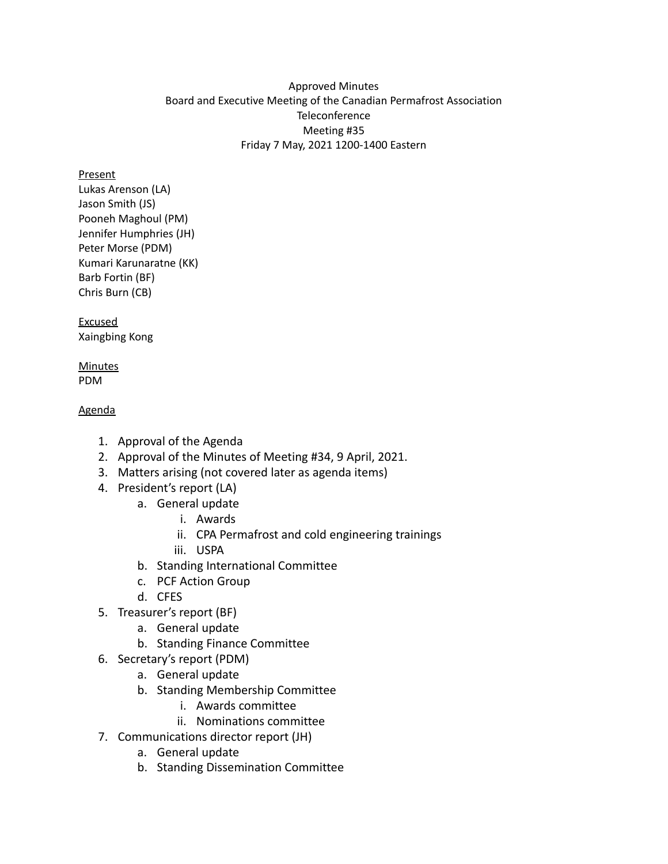### Approved Minutes Board and Executive Meeting of the Canadian Permafrost Association **Teleconference** Meeting #35 Friday 7 May, 2021 1200-1400 Eastern

### **Present**

Lukas Arenson (LA) Jason Smith (JS) Pooneh Maghoul (PM) Jennifer Humphries (JH) Peter Morse (PDM) Kumari Karunaratne (KK) Barb Fortin (BF) Chris Burn (CB)

Excused Xaingbing Kong

### **Minutes** PDM

### Agenda

- 1. Approval of the Agenda
- 2. Approval of the Minutes of Meeting #34, 9 April, 2021.
- 3. Matters arising (not covered later as agenda items)
- 4. President's report (LA)
	- a. General update
		- i. Awards
		- ii. CPA Permafrost and cold engineering trainings
		- iii. USPA
	- b. Standing International Committee
	- c. PCF Action Group
	- d. CFES
- 5. Treasurer's report (BF)
	- a. General update
	- b. Standing Finance Committee
- 6. Secretary's report (PDM)
	- a. General update
	- b. Standing Membership Committee
		- i. Awards committee
		- ii. Nominations committee
- 7. Communications director report (JH)
	- a. General update
	- b. Standing Dissemination Committee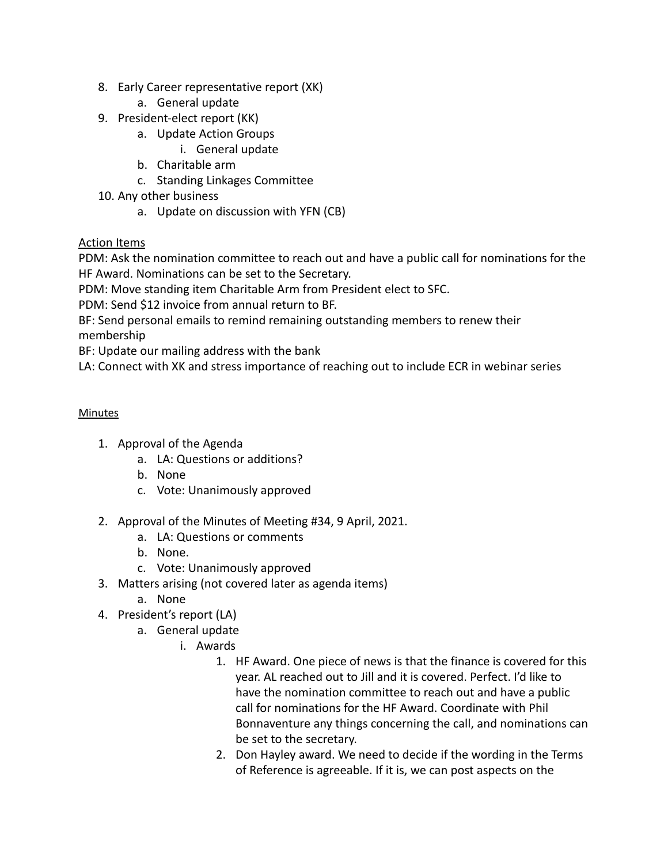- 8. Early Career representative report (XK)
	- a. General update
- 9. President-elect report (KK)
	- a. Update Action Groups
		- i. General update
	- b. Charitable arm
	- c. Standing Linkages Committee
- 10. Any other business
	- a. Update on discussion with YFN (CB)

# Action Items

PDM: Ask the nomination committee to reach out and have a public call for nominations for the HF Award. Nominations can be set to the Secretary.

PDM: Move standing item Charitable Arm from President elect to SFC.

PDM: Send \$12 invoice from annual return to BF.

BF: Send personal emails to remind remaining outstanding members to renew their

membership

BF: Update our mailing address with the bank

LA: Connect with XK and stress importance of reaching out to include ECR in webinar series

# **Minutes**

- 1. Approval of the Agenda
	- a. LA: Questions or additions?
	- b. None
	- c. Vote: Unanimously approved
- 2. Approval of the Minutes of Meeting #34, 9 April, 2021.
	- a. LA: Questions or comments
	- b. None.
	- c. Vote: Unanimously approved
- 3. Matters arising (not covered later as agenda items)
	- a. None
- 4. President's report (LA)
	- a. General update
		- i. Awards
			- 1. HF Award. One piece of news is that the finance is covered for this year. AL reached out to Jill and it is covered. Perfect. I'd like to have the nomination committee to reach out and have a public call for nominations for the HF Award. Coordinate with Phil Bonnaventure any things concerning the call, and nominations can be set to the secretary.
			- 2. Don Hayley award. We need to decide if the wording in the Terms of Reference is agreeable. If it is, we can post aspects on the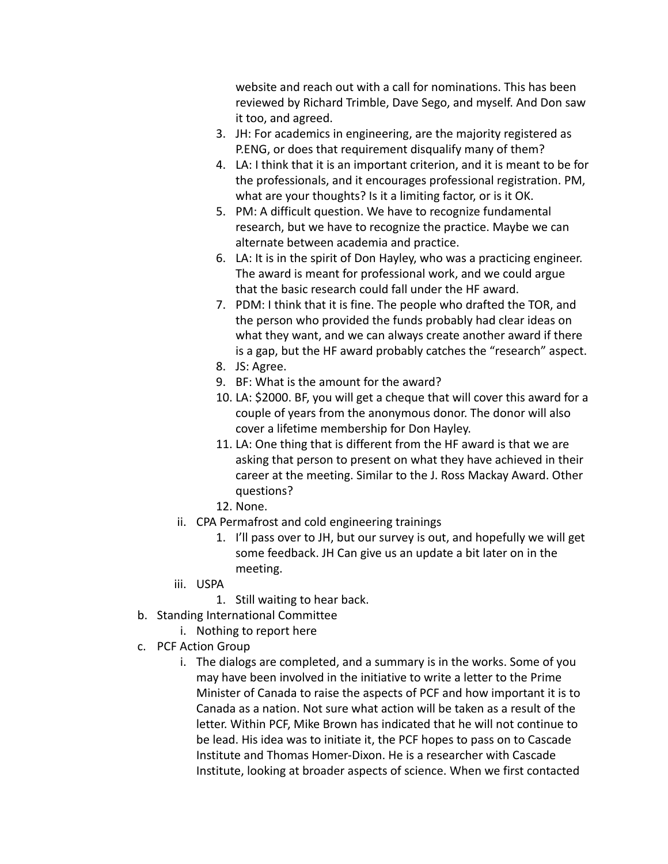website and reach out with a call for nominations. This has been reviewed by Richard Trimble, Dave Sego, and myself. And Don saw it too, and agreed.

- 3. JH: For academics in engineering, are the majority registered as P.ENG, or does that requirement disqualify many of them?
- 4. LA: I think that it is an important criterion, and it is meant to be for the professionals, and it encourages professional registration. PM, what are your thoughts? Is it a limiting factor, or is it OK.
- 5. PM: A difficult question. We have to recognize fundamental research, but we have to recognize the practice. Maybe we can alternate between academia and practice.
- 6. LA: It is in the spirit of Don Hayley, who was a practicing engineer. The award is meant for professional work, and we could argue that the basic research could fall under the HF award.
- 7. PDM: I think that it is fine. The people who drafted the TOR, and the person who provided the funds probably had clear ideas on what they want, and we can always create another award if there is a gap, but the HF award probably catches the "research" aspect.
- 8. JS: Agree.
- 9. BF: What is the amount for the award?
- 10. LA: \$2000. BF, you will get a cheque that will cover this award for a couple of years from the anonymous donor. The donor will also cover a lifetime membership for Don Hayley.
- 11. LA: One thing that is different from the HF award is that we are asking that person to present on what they have achieved in their career at the meeting. Similar to the J. Ross Mackay Award. Other questions?
- 12. None.
- ii. CPA Permafrost and cold engineering trainings
	- 1. I'll pass over to JH, but our survey is out, and hopefully we will get some feedback. JH Can give us an update a bit later on in the meeting.
- iii. USPA
	- 1. Still waiting to hear back.
- b. Standing International Committee
	- i. Nothing to report here
- c. PCF Action Group
	- i. The dialogs are completed, and a summary is in the works. Some of you may have been involved in the initiative to write a letter to the Prime Minister of Canada to raise the aspects of PCF and how important it is to Canada as a nation. Not sure what action will be taken as a result of the letter. Within PCF, Mike Brown has indicated that he will not continue to be lead. His idea was to initiate it, the PCF hopes to pass on to Cascade Institute and Thomas Homer-Dixon. He is a researcher with Cascade Institute, looking at broader aspects of science. When we first contacted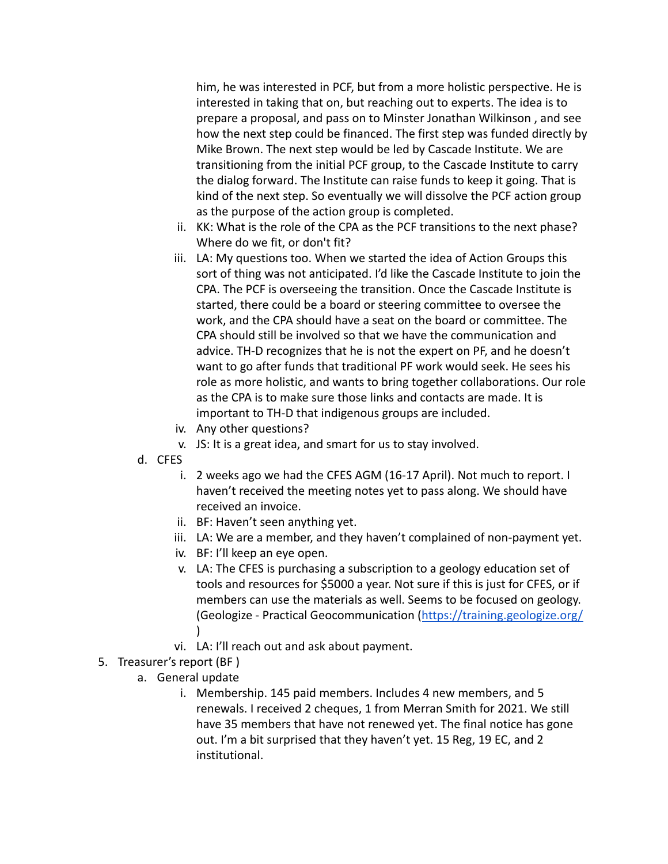him, he was interested in PCF, but from a more holistic perspective. He is interested in taking that on, but reaching out to experts. The idea is to prepare a proposal, and pass on to Minster Jonathan Wilkinson , and see how the next step could be financed. The first step was funded directly by Mike Brown. The next step would be led by Cascade Institute. We are transitioning from the initial PCF group, to the Cascade Institute to carry the dialog forward. The Institute can raise funds to keep it going. That is kind of the next step. So eventually we will dissolve the PCF action group as the purpose of the action group is completed.

- ii. KK: What is the role of the CPA as the PCF transitions to the next phase? Where do we fit, or don't fit?
- iii. LA: My questions too. When we started the idea of Action Groups this sort of thing was not anticipated. I'd like the Cascade Institute to join the CPA. The PCF is overseeing the transition. Once the Cascade Institute is started, there could be a board or steering committee to oversee the work, and the CPA should have a seat on the board or committee. The CPA should still be involved so that we have the communication and advice. TH-D recognizes that he is not the expert on PF, and he doesn't want to go after funds that traditional PF work would seek. He sees his role as more holistic, and wants to bring together collaborations. Our role as the CPA is to make sure those links and contacts are made. It is important to TH-D that indigenous groups are included.
- iv. Any other questions?
- v. JS: It is a great idea, and smart for us to stay involved.
- d. CFES
	- i. 2 weeks ago we had the CFES AGM (16-17 April). Not much to report. I haven't received the meeting notes yet to pass along. We should have received an invoice.
	- ii. BF: Haven't seen anything yet.
	- iii. LA: We are a member, and they haven't complained of non-payment yet.
	- iv. BF: I'll keep an eye open.
	- v. LA: The CFES is purchasing a subscription to a geology education set of tools and resources for \$5000 a year. Not sure if this is just for CFES, or if members can use the materials as well. Seems to be focused on geology. (Geologize - Practical Geocommunication (<https://training.geologize.org/>  $\lambda$
	- vi. LA: I'll reach out and ask about payment.
- 5. Treasurer's report (BF )
	- a. General update
		- i. Membership. 145 paid members. Includes 4 new members, and 5 renewals. I received 2 cheques, 1 from Merran Smith for 2021. We still have 35 members that have not renewed yet. The final notice has gone out. I'm a bit surprised that they haven't yet. 15 Reg, 19 EC, and 2 institutional.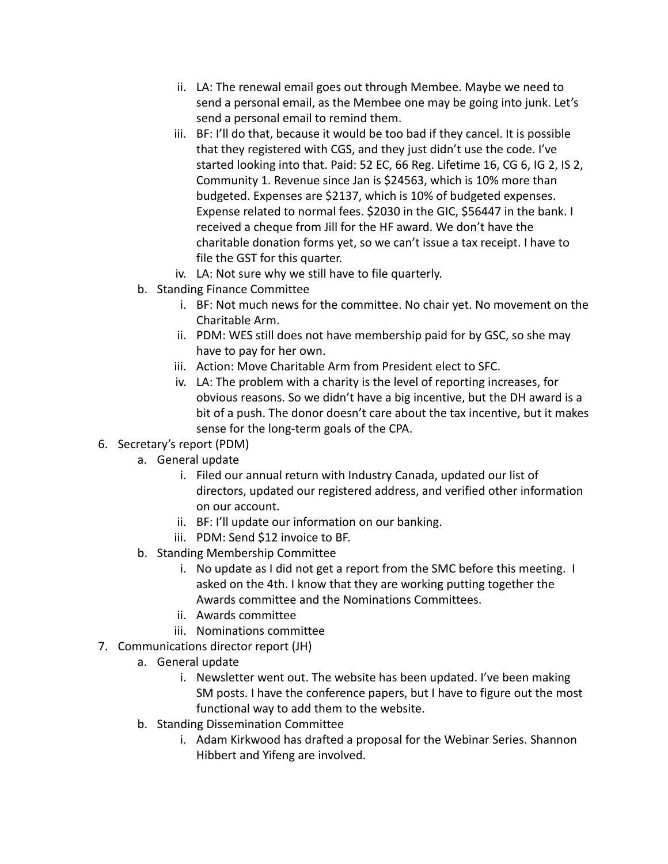- ii. LA: The renewal email goes out through Membee. Maybe we need to send a personal email, as the Membee one may be going into junk. Let's send a personal email to remind them.
- iii. BF: I'll do that, because it would be too bad if they cancel. It is possible that they registered with CGS, and they just didn't use the code. I've started looking into that. Paid: 52 EC, 66 Reg. Lifetime 16, CG 6, IG 2, IS 2, Community 1. Revenue since Jan is \$24563, which is 10% more than budgeted. Expenses are \$2137, which is 10% of budgeted expenses. Expense related to normal fees. \$2030 in the GIC, \$56447 in the bank. I received a cheque from Jill for the HF award. We don't have the charitable donation forms yet, so we can't issue a tax receipt. I have to file the GST for this quarter.
- iv. LA: Not sure why we still have to file quarterly.
- b. Standing Finance Committee
	- i. BF: Not much news for the committee. No chair yet. No movement on the Charitable Arm.
	- ii. PDM: WES still does not have membership paid for by GSC, so she may have to pay for her own.
	- iii. Action: Move Charitable Arm from President elect to SFC.
	- iv. LA: The problem with a charity is the level of reporting increases, for obvious reasons. So we didn't have a big incentive, but the DH award is a bit of a push. The donor doesn't care about the tax incentive, but it makes sense for the long-term goals of the CPA.
- 6. Secretary's report (PDM)
	- a. General update
		- i. Filed our annual return with Industry Canada, updated our list of directors, updated our registered address, and verified other information on our account.
		- ii. BF: I'll update our information on our banking.
		- iii. PDM: Send \$12 invoice to BF.
	- b. Standing Membership Committee
		- i. No update as I did not get a report from the SMC before this meeting. I asked on the 4th. I know that they are working putting together the Awards committee and the Nominations Committees.
		- ii. Awards committee
		- iii. Nominations committee
- 7. Communications director report (JH)
	- a. General update
		- i. Newsletter went out. The website has been updated. I've been making SM posts. I have the conference papers, but I have to figure out the most functional way to add them to the website.
	- b. Standing Dissemination Committee
		- i. Adam Kirkwood has drafted a proposal for the Webinar Series. Shannon Hibbert and Yifeng are involved.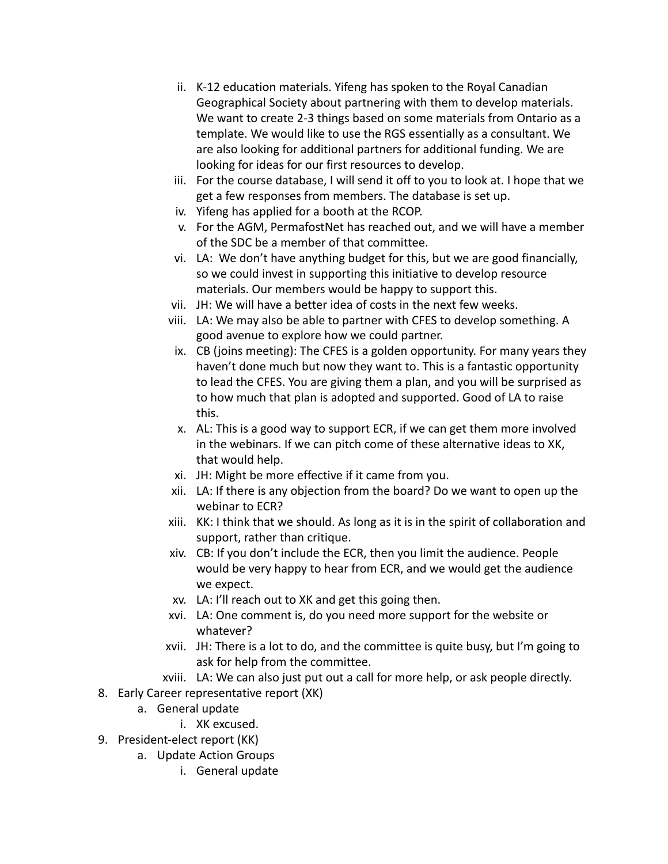- ii. K-12 education materials. Yifeng has spoken to the Royal Canadian Geographical Society about partnering with them to develop materials. We want to create 2-3 things based on some materials from Ontario as a template. We would like to use the RGS essentially as a consultant. We are also looking for additional partners for additional funding. We are looking for ideas for our first resources to develop.
- iii. For the course database, I will send it off to you to look at. I hope that we get a few responses from members. The database is set up.
- iv. Yifeng has applied for a booth at the RCOP.
- v. For the AGM, PermafostNet has reached out, and we will have a member of the SDC be a member of that committee.
- vi. LA: We don't have anything budget for this, but we are good financially, so we could invest in supporting this initiative to develop resource materials. Our members would be happy to support this.
- vii. JH: We will have a better idea of costs in the next few weeks.
- viii. LA: We may also be able to partner with CFES to develop something. A good avenue to explore how we could partner.
- ix. CB (joins meeting): The CFES is a golden opportunity. For many years they haven't done much but now they want to. This is a fantastic opportunity to lead the CFES. You are giving them a plan, and you will be surprised as to how much that plan is adopted and supported. Good of LA to raise this.
- x. AL: This is a good way to support ECR, if we can get them more involved in the webinars. If we can pitch come of these alternative ideas to XK, that would help.
- xi. JH: Might be more effective if it came from you.
- xii. LA: If there is any objection from the board? Do we want to open up the webinar to ECR?
- xiii. KK: I think that we should. As long as it is in the spirit of collaboration and support, rather than critique.
- xiv. CB: If you don't include the ECR, then you limit the audience. People would be very happy to hear from ECR, and we would get the audience we expect.
- xv. LA: I'll reach out to XK and get this going then.
- xvi. LA: One comment is, do you need more support for the website or whatever?
- xvii. JH: There is a lot to do, and the committee is quite busy, but I'm going to ask for help from the committee.
- xviii. LA: We can also just put out a call for more help, or ask people directly.
- 8. Early Career representative report (XK)
	- a. General update
		- i. XK excused.
- 9. President-elect report (KK)
	- a. Update Action Groups
		- i. General update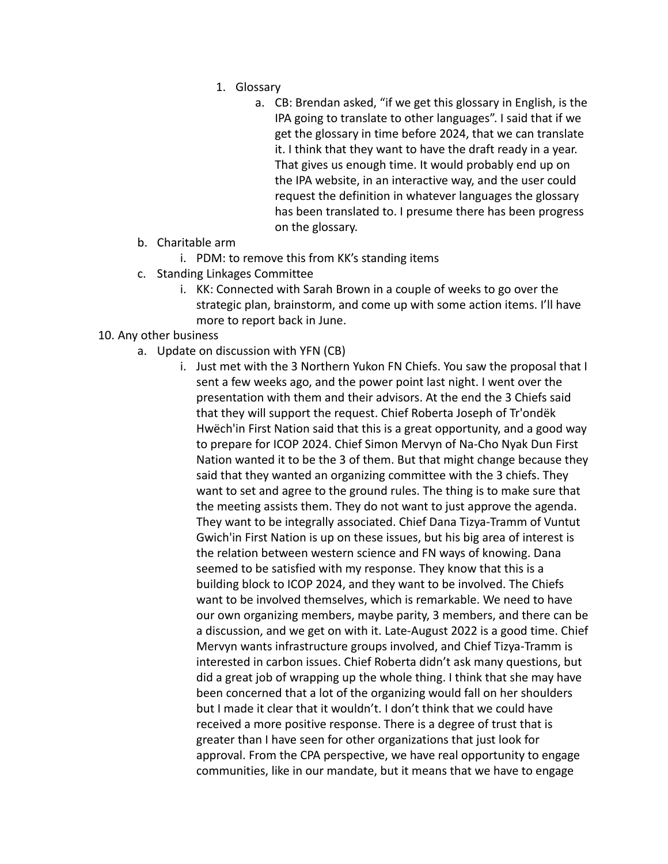- 1. Glossary
	- a. CB: Brendan asked, "if we get this glossary in English, is the IPA going to translate to other languages". I said that if we get the glossary in time before 2024, that we can translate it. I think that they want to have the draft ready in a year. That gives us enough time. It would probably end up on the IPA website, in an interactive way, and the user could request the definition in whatever languages the glossary has been translated to. I presume there has been progress on the glossary.
- b. Charitable arm
	- i. PDM: to remove this from KK's standing items
- c. Standing Linkages Committee
	- i. KK: Connected with Sarah Brown in a couple of weeks to go over the strategic plan, brainstorm, and come up with some action items. I'll have more to report back in June.

# 10. Any other business

- a. Update on discussion with YFN (CB)
	- i. Just met with the 3 Northern Yukon FN Chiefs. You saw the proposal that I sent a few weeks ago, and the power point last night. I went over the presentation with them and their advisors. At the end the 3 Chiefs said that they will support the request. Chief Roberta Joseph of Tr'ondëk Hwëch'in First Nation said that this is a great opportunity, and a good way to prepare for ICOP 2024. Chief Simon Mervyn of Na-Cho Nyak Dun First Nation wanted it to be the 3 of them. But that might change because they said that they wanted an organizing committee with the 3 chiefs. They want to set and agree to the ground rules. The thing is to make sure that the meeting assists them. They do not want to just approve the agenda. They want to be integrally associated. Chief Dana Tizya-Tramm of Vuntut Gwich'in First Nation is up on these issues, but his big area of interest is the relation between western science and FN ways of knowing. Dana seemed to be satisfied with my response. They know that this is a building block to ICOP 2024, and they want to be involved. The Chiefs want to be involved themselves, which is remarkable. We need to have our own organizing members, maybe parity, 3 members, and there can be a discussion, and we get on with it. Late-August 2022 is a good time. Chief Mervyn wants infrastructure groups involved, and Chief Tizya-Tramm is interested in carbon issues. Chief Roberta didn't ask many questions, but did a great job of wrapping up the whole thing. I think that she may have been concerned that a lot of the organizing would fall on her shoulders but I made it clear that it wouldn't. I don't think that we could have received a more positive response. There is a degree of trust that is greater than I have seen for other organizations that just look for approval. From the CPA perspective, we have real opportunity to engage communities, like in our mandate, but it means that we have to engage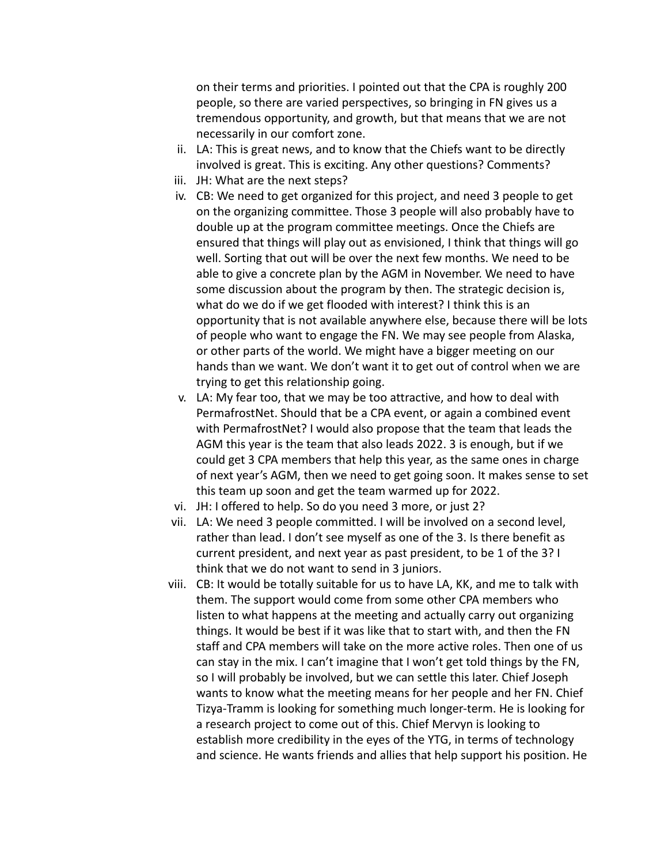on their terms and priorities. I pointed out that the CPA is roughly 200 people, so there are varied perspectives, so bringing in FN gives us a tremendous opportunity, and growth, but that means that we are not necessarily in our comfort zone.

- ii. LA: This is great news, and to know that the Chiefs want to be directly involved is great. This is exciting. Any other questions? Comments?
- iii. JH: What are the next steps?
- iv. CB: We need to get organized for this project, and need 3 people to get on the organizing committee. Those 3 people will also probably have to double up at the program committee meetings. Once the Chiefs are ensured that things will play out as envisioned, I think that things will go well. Sorting that out will be over the next few months. We need to be able to give a concrete plan by the AGM in November. We need to have some discussion about the program by then. The strategic decision is, what do we do if we get flooded with interest? I think this is an opportunity that is not available anywhere else, because there will be lots of people who want to engage the FN. We may see people from Alaska, or other parts of the world. We might have a bigger meeting on our hands than we want. We don't want it to get out of control when we are trying to get this relationship going.
- v. LA: My fear too, that we may be too attractive, and how to deal with PermafrostNet. Should that be a CPA event, or again a combined event with PermafrostNet? I would also propose that the team that leads the AGM this year is the team that also leads 2022. 3 is enough, but if we could get 3 CPA members that help this year, as the same ones in charge of next year's AGM, then we need to get going soon. It makes sense to set this team up soon and get the team warmed up for 2022.
- vi. JH: I offered to help. So do you need 3 more, or just 2?
- vii. LA: We need 3 people committed. I will be involved on a second level, rather than lead. I don't see myself as one of the 3. Is there benefit as current president, and next year as past president, to be 1 of the 3? I think that we do not want to send in 3 juniors.
- viii. CB: It would be totally suitable for us to have LA, KK, and me to talk with them. The support would come from some other CPA members who listen to what happens at the meeting and actually carry out organizing things. It would be best if it was like that to start with, and then the FN staff and CPA members will take on the more active roles. Then one of us can stay in the mix. I can't imagine that I won't get told things by the FN, so I will probably be involved, but we can settle this later. Chief Joseph wants to know what the meeting means for her people and her FN. Chief Tizya-Tramm is looking for something much longer-term. He is looking for a research project to come out of this. Chief Mervyn is looking to establish more credibility in the eyes of the YTG, in terms of technology and science. He wants friends and allies that help support his position. He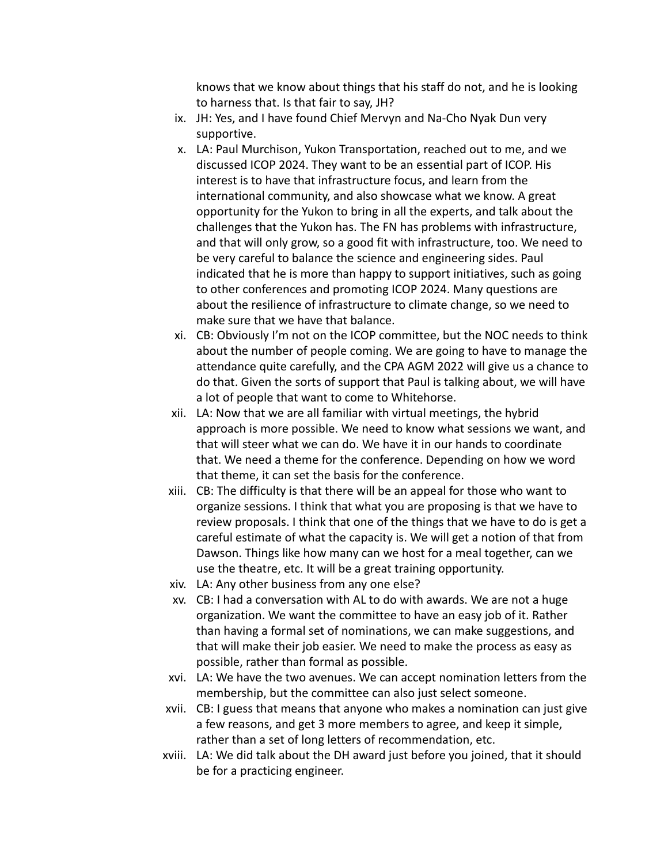knows that we know about things that his staff do not, and he is looking to harness that. Is that fair to say, JH?

- ix. JH: Yes, and I have found Chief Mervyn and Na-Cho Nyak Dun very supportive.
- x. LA: Paul Murchison, Yukon Transportation, reached out to me, and we discussed ICOP 2024. They want to be an essential part of ICOP. His interest is to have that infrastructure focus, and learn from the international community, and also showcase what we know. A great opportunity for the Yukon to bring in all the experts, and talk about the challenges that the Yukon has. The FN has problems with infrastructure, and that will only grow, so a good fit with infrastructure, too. We need to be very careful to balance the science and engineering sides. Paul indicated that he is more than happy to support initiatives, such as going to other conferences and promoting ICOP 2024. Many questions are about the resilience of infrastructure to climate change, so we need to make sure that we have that balance.
- xi. CB: Obviously I'm not on the ICOP committee, but the NOC needs to think about the number of people coming. We are going to have to manage the attendance quite carefully, and the CPA AGM 2022 will give us a chance to do that. Given the sorts of support that Paul is talking about, we will have a lot of people that want to come to Whitehorse.
- xii. LA: Now that we are all familiar with virtual meetings, the hybrid approach is more possible. We need to know what sessions we want, and that will steer what we can do. We have it in our hands to coordinate that. We need a theme for the conference. Depending on how we word that theme, it can set the basis for the conference.
- xiii. CB: The difficulty is that there will be an appeal for those who want to organize sessions. I think that what you are proposing is that we have to review proposals. I think that one of the things that we have to do is get a careful estimate of what the capacity is. We will get a notion of that from Dawson. Things like how many can we host for a meal together, can we use the theatre, etc. It will be a great training opportunity.
- xiv. LA: Any other business from any one else?
- xv. CB: I had a conversation with AL to do with awards. We are not a huge organization. We want the committee to have an easy job of it. Rather than having a formal set of nominations, we can make suggestions, and that will make their job easier. We need to make the process as easy as possible, rather than formal as possible.
- xvi. LA: We have the two avenues. We can accept nomination letters from the membership, but the committee can also just select someone.
- xvii. CB: I guess that means that anyone who makes a nomination can just give a few reasons, and get 3 more members to agree, and keep it simple, rather than a set of long letters of recommendation, etc.
- xviii. LA: We did talk about the DH award just before you joined, that it should be for a practicing engineer.